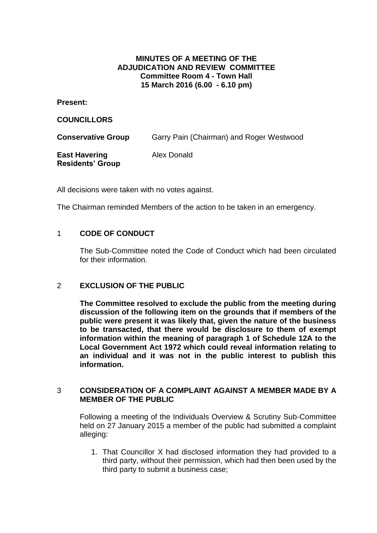## **MINUTES OF A MEETING OF THE ADJUDICATION AND REVIEW COMMITTEE Committee Room 4 - Town Hall 15 March 2016 (6.00 - 6.10 pm)**

**Present:**

**COUNCILLORS**

**Conservative Group** Garry Pain (Chairman) and Roger Westwood

**East Havering Residents' Group** Alex Donald

All decisions were taken with no votes against.

The Chairman reminded Members of the action to be taken in an emergency.

# 1 **CODE OF CONDUCT**

The Sub-Committee noted the Code of Conduct which had been circulated for their information.

## 2 **EXCLUSION OF THE PUBLIC**

**The Committee resolved to exclude the public from the meeting during discussion of the following item on the grounds that if members of the public were present it was likely that, given the nature of the business to be transacted, that there would be disclosure to them of exempt information within the meaning of paragraph 1 of Schedule 12A to the Local Government Act 1972 which could reveal information relating to an individual and it was not in the public interest to publish this information.**

### 3 **CONSIDERATION OF A COMPLAINT AGAINST A MEMBER MADE BY A MEMBER OF THE PUBLIC**

Following a meeting of the Individuals Overview & Scrutiny Sub-Committee held on 27 January 2015 a member of the public had submitted a complaint alleging:

1. That Councillor X had disclosed information they had provided to a third party, without their permission, which had then been used by the third party to submit a business case;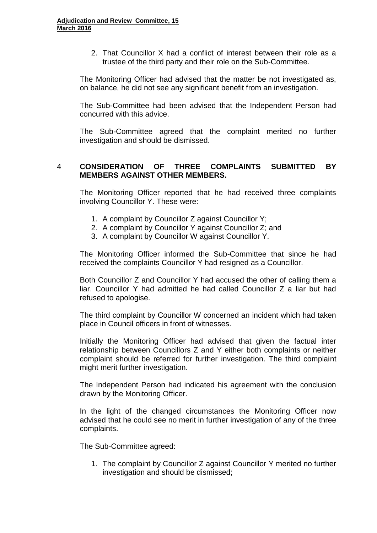2. That Councillor X had a conflict of interest between their role as a trustee of the third party and their role on the Sub-Committee.

The Monitoring Officer had advised that the matter be not investigated as, on balance, he did not see any significant benefit from an investigation.

The Sub-Committee had been advised that the Independent Person had concurred with this advice.

The Sub-Committee agreed that the complaint merited no further investigation and should be dismissed.

# 4 **CONSIDERATION OF THREE COMPLAINTS SUBMITTED BY MEMBERS AGAINST OTHER MEMBERS.**

The Monitoring Officer reported that he had received three complaints involving Councillor Y. These were:

- 1. A complaint by Councillor Z against Councillor Y;
- 2. A complaint by Councillor Y against Councillor Z; and
- 3. A complaint by Councillor W against Councillor Y.

The Monitoring Officer informed the Sub-Committee that since he had received the complaints Councillor Y had resigned as a Councillor.

Both Councillor Z and Councillor Y had accused the other of calling them a liar. Councillor Y had admitted he had called Councillor Z a liar but had refused to apologise.

The third complaint by Councillor W concerned an incident which had taken place in Council officers in front of witnesses.

Initially the Monitoring Officer had advised that given the factual inter relationship between Councillors Z and Y either both complaints or neither complaint should be referred for further investigation. The third complaint might merit further investigation.

The Independent Person had indicated his agreement with the conclusion drawn by the Monitoring Officer.

In the light of the changed circumstances the Monitoring Officer now advised that he could see no merit in further investigation of any of the three complaints.

The Sub-Committee agreed:

1. The complaint by Councillor Z against Councillor Y merited no further investigation and should be dismissed;